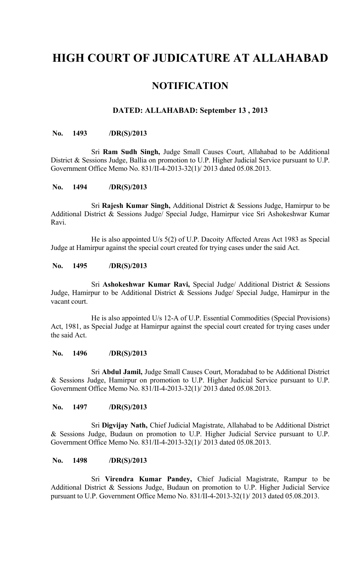# **HIGH COURT OF JUDICATURE AT ALLAHABAD**

# **NOTIFICATION**

# **DATED: ALLAHABAD: September 13 , 2013**

# **No. 1493 /DR(S)/2013**

Sri **Ram Sudh Singh,** Judge Small Causes Court, Allahabad to be Additional District & Sessions Judge, Ballia on promotion to U.P. Higher Judicial Service pursuant to U.P. Government Office Memo No. 831/II-4-2013-32(1)/ 2013 dated 05.08.2013.

# **No. 1494 /DR(S)/2013**

Sri **Rajesh Kumar Singh,** Additional District & Sessions Judge, Hamirpur to be Additional District & Sessions Judge/ Special Judge, Hamirpur vice Sri Ashokeshwar Kumar Ravi.

He is also appointed U/s 5(2) of U.P. Dacoity Affected Areas Act 1983 as Special Judge at Hamirpur against the special court created for trying cases under the said Act.

#### **No. 1495 /DR(S)/2013**

Sri **Ashokeshwar Kumar Ravi,** Special Judge/ Additional District & Sessions Judge, Hamirpur to be Additional District & Sessions Judge/ Special Judge, Hamirpur in the vacant court.

He is also appointed U/s 12-A of U.P. Essential Commodities (Special Provisions) Act, 1981, as Special Judge at Hamirpur against the special court created for trying cases under the said Act.

#### **No. 1496 /DR(S)/2013**

Sri **Abdul Jamil,** Judge Small Causes Court, Moradabad to be Additional District & Sessions Judge, Hamirpur on promotion to U.P. Higher Judicial Service pursuant to U.P. Government Office Memo No. 831/II-4-2013-32(1)/ 2013 dated 05.08.2013.

#### **No. 1497 /DR(S)/2013**

Sri **Digvijay Nath,** Chief Judicial Magistrate, Allahabad to be Additional District & Sessions Judge, Budaun on promotion to U.P. Higher Judicial Service pursuant to U.P. Government Office Memo No. 831/II-4-2013-32(1)/ 2013 dated 05.08.2013.

#### **No. 1498 /DR(S)/2013**

Sri **Virendra Kumar Pandey,** Chief Judicial Magistrate, Rampur to be Additional District & Sessions Judge, Budaun on promotion to U.P. Higher Judicial Service pursuant to U.P. Government Office Memo No. 831/II-4-2013-32(1)/ 2013 dated 05.08.2013.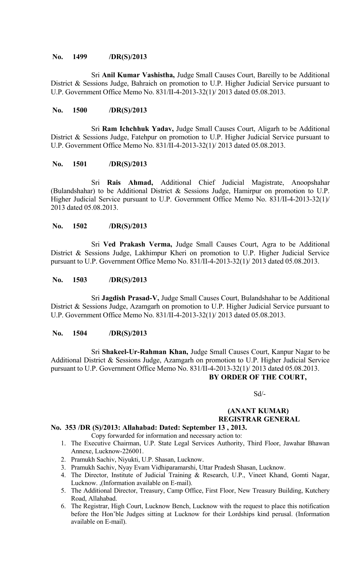#### **No. 1499 /DR(S)/2013**

Sri **Anil Kumar Vashistha,** Judge Small Causes Court, Bareilly to be Additional District & Sessions Judge, Bahraich on promotion to U.P. Higher Judicial Service pursuant to U.P. Government Office Memo No. 831/II-4-2013-32(1)/ 2013 dated 05.08.2013.

#### **No. 1500 /DR(S)/2013**

Sri **Ram Ichchhuk Yadav,** Judge Small Causes Court, Aligarh to be Additional District & Sessions Judge, Fatehpur on promotion to U.P. Higher Judicial Service pursuant to U.P. Government Office Memo No. 831/II-4-2013-32(1)/ 2013 dated 05.08.2013.

#### **No. 1501 /DR(S)/2013**

Sri **Rais Ahmad,** Additional Chief Judicial Magistrate, Anoopshahar (Bulandshahar) to be Additional District & Sessions Judge, Hamirpur on promotion to U.P. Higher Judicial Service pursuant to U.P. Government Office Memo No. 831/II-4-2013-32(1)/ 2013 dated 05.08.2013.

#### **No. 1502 /DR(S)/2013**

Sri **Ved Prakash Verma,** Judge Small Causes Court, Agra to be Additional District & Sessions Judge, Lakhimpur Kheri on promotion to U.P. Higher Judicial Service pursuant to U.P. Government Office Memo No. 831/II-4-2013-32(1)/ 2013 dated 05.08.2013.

#### **No. 1503 /DR(S)/2013**

Sri **Jagdish Prasad-V,** Judge Small Causes Court, Bulandshahar to be Additional District & Sessions Judge, Azamgarh on promotion to U.P. Higher Judicial Service pursuant to U.P. Government Office Memo No. 831/II-4-2013-32(1)/ 2013 dated 05.08.2013.

#### **No. 1504 /DR(S)/2013**

Sri **Shakeel-Ur-Rahman Khan,** Judge Small Causes Court, Kanpur Nagar to be Additional District & Sessions Judge, Azamgarh on promotion to U.P. Higher Judicial Service pursuant to U.P. Government Office Memo No. 831/II-4-2013-32(1)/ 2013 dated 05.08.2013. **BY ORDER OF THE COURT,**

Sd/-

# **(ANANT KUMAR) REGISTRAR GENERAL**

# **No. 353 /DR (S)/2013: Allahabad: Dated: September 13 , 2013.**

- Copy forwarded for information and necessary action to:
- 1. The Executive Chairman, U.P. State Legal Services Authority, Third Floor, Jawahar Bhawan Annexe, Lucknow-226001.
- 2. Pramukh Sachiv, Niyukti, U.P. Shasan, Lucknow.
- 3. Pramukh Sachiv, Nyay Evam Vidhiparamarshi, Uttar Pradesh Shasan, Lucknow.
- 4. The Director, Institute of Judicial Training & Research, U.P., Vineet Khand, Gomti Nagar, Lucknow. ,(Information available on E-mail).
- 5. The Additional Director, Treasury, Camp Office, First Floor, New Treasury Building, Kutchery Road, Allahabad.
- 6. The Registrar, High Court, Lucknow Bench, Lucknow with the request to place this notification before the Hon'ble Judges sitting at Lucknow for their Lordships kind perusal. (Information available on E-mail).